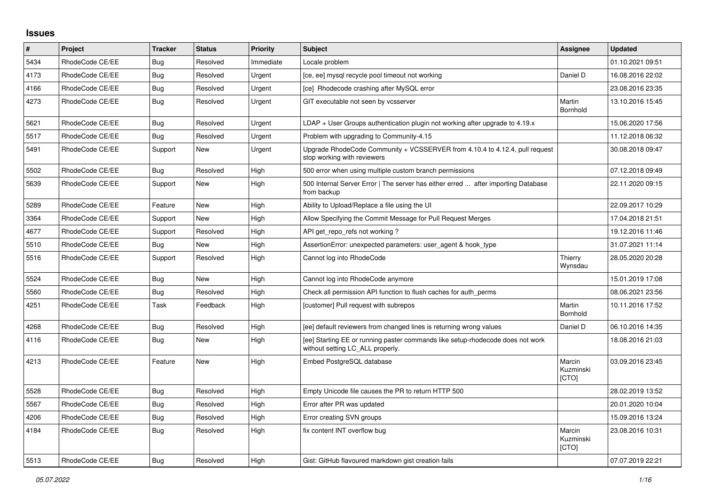## **Issues**

| $\vert$ # | Project         | <b>Tracker</b> | <b>Status</b> | <b>Priority</b> | <b>Subject</b>                                                                                                     | Assignee                     | <b>Updated</b>   |
|-----------|-----------------|----------------|---------------|-----------------|--------------------------------------------------------------------------------------------------------------------|------------------------------|------------------|
| 5434      | RhodeCode CE/EE | Bug            | Resolved      | Immediate       | Locale problem                                                                                                     |                              | 01.10.2021 09:51 |
| 4173      | RhodeCode CE/EE | Bug            | Resolved      | Urgent          | [ce, ee] mysql recycle pool timeout not working                                                                    | Daniel D                     | 16.08.2016 22:02 |
| 4166      | RhodeCode CE/EE | Bug            | Resolved      | Urgent          | [ce] Rhodecode crashing after MySQL error                                                                          |                              | 23.08.2016 23:35 |
| 4273      | RhodeCode CE/EE | Bug            | Resolved      | Urgent          | GIT executable not seen by vcsserver                                                                               | Martin<br>Bornhold           | 13.10.2016 15:45 |
| 5621      | RhodeCode CE/EE | Bug            | Resolved      | Urgent          | LDAP + User Groups authentication plugin not working after upgrade to 4.19.x                                       |                              | 15.06.2020 17:56 |
| 5517      | RhodeCode CE/EE | Bug            | Resolved      | Urgent          | Problem with upgrading to Community-4.15                                                                           |                              | 11.12.2018 06:32 |
| 5491      | RhodeCode CE/EE | Support        | New           | Urgent          | Upgrade RhodeCode Community + VCSSERVER from 4.10.4 to 4.12.4, pull request<br>stop working with reviewers         |                              | 30.08.2018 09:47 |
| 5502      | RhodeCode CE/EE | <b>Bug</b>     | Resolved      | High            | 500 error when using multiple custom branch permissions                                                            |                              | 07.12.2018 09:49 |
| 5639      | RhodeCode CE/EE | Support        | <b>New</b>    | High            | 500 Internal Server Error   The server has either erred  after importing Database<br>from backup                   |                              | 22.11.2020 09:15 |
| 5289      | RhodeCode CE/EE | Feature        | New           | High            | Ability to Upload/Replace a file using the UI                                                                      |                              | 22.09.2017 10:29 |
| 3364      | RhodeCode CE/EE | Support        | New           | High            | Allow Specifying the Commit Message for Pull Request Merges                                                        |                              | 17.04.2018 21:51 |
| 4677      | RhodeCode CE/EE | Support        | Resolved      | High            | API get repo refs not working?                                                                                     |                              | 19.12.2016 11:46 |
| 5510      | RhodeCode CE/EE | Bug            | <b>New</b>    | High            | AssertionError: unexpected parameters: user agent & hook type                                                      |                              | 31.07.2021 11:14 |
| 5516      | RhodeCode CE/EE | Support        | Resolved      | High            | Cannot log into RhodeCode                                                                                          | Thierry<br>Wynsdau           | 28.05.2020 20:28 |
| 5524      | RhodeCode CE/EE | <b>Bug</b>     | <b>New</b>    | High            | Cannot log into RhodeCode anymore                                                                                  |                              | 15.01.2019 17:08 |
| 5560      | RhodeCode CE/EE | Bug            | Resolved      | High            | Check all permission API function to flush caches for auth perms                                                   |                              | 08.06.2021 23:56 |
| 4251      | RhodeCode CE/EE | Task           | Feedback      | High            | [customer] Pull request with subrepos                                                                              | Martin<br>Bornhold           | 10.11.2016 17:52 |
| 4268      | RhodeCode CE/EE | Bug            | Resolved      | High            | [ee] default reviewers from changed lines is returning wrong values                                                | Daniel D                     | 06.10.2016 14:35 |
| 4116      | RhodeCode CE/EE | Bug            | New           | High            | [ee] Starting EE or running paster commands like setup-rhodecode does not work<br>without setting LC ALL properly. |                              | 18.08.2016 21:03 |
| 4213      | RhodeCode CE/EE | Feature        | <b>New</b>    | High            | Embed PostgreSQL database                                                                                          | Marcin<br>Kuzminski<br>[CTO] | 03.09.2016 23:45 |
| 5528      | RhodeCode CE/EE | Bug            | Resolved      | High            | Empty Unicode file causes the PR to return HTTP 500                                                                |                              | 28.02.2019 13:52 |
| 5567      | RhodeCode CE/EE | <b>Bug</b>     | Resolved      | High            | Error after PR was updated                                                                                         |                              | 20.01.2020 10:04 |
| 4206      | RhodeCode CE/EE | Bug            | Resolved      | High            | Error creating SVN groups                                                                                          |                              | 15.09.2016 13:24 |
| 4184      | RhodeCode CE/EE | <b>Bug</b>     | Resolved      | High            | fix content INT overflow bug                                                                                       | Marcin<br>Kuzminski<br>[CTO] | 23.08.2016 10:31 |
| 5513      | RhodeCode CE/EE | Bug            | Resolved      | High            | Gist: GitHub flavoured markdown gist creation fails                                                                |                              | 07.07.2019 22:21 |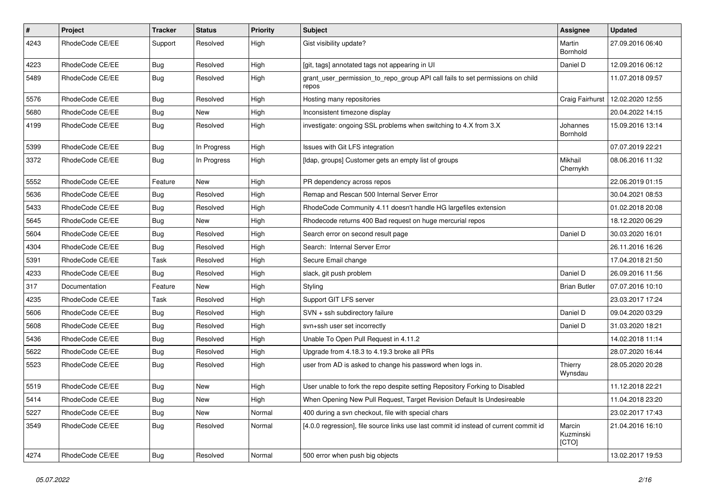| $\pmb{\#}$ | Project         | <b>Tracker</b> | <b>Status</b> | <b>Priority</b> | Subject                                                                                 | Assignee                     | <b>Updated</b>   |
|------------|-----------------|----------------|---------------|-----------------|-----------------------------------------------------------------------------------------|------------------------------|------------------|
| 4243       | RhodeCode CE/EE | Support        | Resolved      | High            | Gist visibility update?                                                                 | Martin<br>Bornhold           | 27.09.2016 06:40 |
| 4223       | RhodeCode CE/EE | Bug            | Resolved      | High            | [git, tags] annotated tags not appearing in UI                                          | Daniel D                     | 12.09.2016 06:12 |
| 5489       | RhodeCode CE/EE | Bug            | Resolved      | High            | grant_user_permission_to_repo_group API call fails to set permissions on child<br>repos |                              | 11.07.2018 09:57 |
| 5576       | RhodeCode CE/EE | <b>Bug</b>     | Resolved      | High            | Hosting many repositories                                                               | Craig Fairhurst              | 12.02.2020 12:55 |
| 5680       | RhodeCode CE/EE | <b>Bug</b>     | New           | High            | Inconsistent timezone display                                                           |                              | 20.04.2022 14:15 |
| 4199       | RhodeCode CE/EE | Bug            | Resolved      | High            | investigate: ongoing SSL problems when switching to 4.X from 3.X                        | Johannes<br>Bornhold         | 15.09.2016 13:14 |
| 5399       | RhodeCode CE/EE | Bug            | In Progress   | High            | Issues with Git LFS integration                                                         |                              | 07.07.2019 22:21 |
| 3372       | RhodeCode CE/EE | Bug            | In Progress   | High            | [Idap, groups] Customer gets an empty list of groups                                    | Mikhail<br>Chernykh          | 08.06.2016 11:32 |
| 5552       | RhodeCode CE/EE | Feature        | <b>New</b>    | High            | PR dependency across repos                                                              |                              | 22.06.2019 01:15 |
| 5636       | RhodeCode CE/EE | Bug            | Resolved      | High            | Remap and Rescan 500 Internal Server Error                                              |                              | 30.04.2021 08:53 |
| 5433       | RhodeCode CE/EE | Bug            | Resolved      | High            | RhodeCode Community 4.11 doesn't handle HG largefiles extension                         |                              | 01.02.2018 20:08 |
| 5645       | RhodeCode CE/EE | <b>Bug</b>     | New           | High            | Rhodecode returns 400 Bad request on huge mercurial repos                               |                              | 18.12.2020 06:29 |
| 5604       | RhodeCode CE/EE | <b>Bug</b>     | Resolved      | High            | Search error on second result page                                                      | Daniel D                     | 30.03.2020 16:01 |
| 4304       | RhodeCode CE/EE | Bug            | Resolved      | High            | Search: Internal Server Error                                                           |                              | 26.11.2016 16:26 |
| 5391       | RhodeCode CE/EE | Task           | Resolved      | High            | Secure Email change                                                                     |                              | 17.04.2018 21:50 |
| 4233       | RhodeCode CE/EE | Bug            | Resolved      | High            | slack, git push problem                                                                 | Daniel D                     | 26.09.2016 11:56 |
| 317        | Documentation   | Feature        | New           | High            | Styling                                                                                 | <b>Brian Butler</b>          | 07.07.2016 10:10 |
| 4235       | RhodeCode CE/EE | Task           | Resolved      | High            | Support GIT LFS server                                                                  |                              | 23.03.2017 17:24 |
| 5606       | RhodeCode CE/EE | Bug            | Resolved      | High            | SVN + ssh subdirectory failure                                                          | Daniel D                     | 09.04.2020 03:29 |
| 5608       | RhodeCode CE/EE | <b>Bug</b>     | Resolved      | High            | svn+ssh user set incorrectly                                                            | Daniel D                     | 31.03.2020 18:21 |
| 5436       | RhodeCode CE/EE | <b>Bug</b>     | Resolved      | High            | Unable To Open Pull Request in 4.11.2                                                   |                              | 14.02.2018 11:14 |
| 5622       | RhodeCode CE/EE | <b>Bug</b>     | Resolved      | High            | Upgrade from 4.18.3 to 4.19.3 broke all PRs                                             |                              | 28.07.2020 16:44 |
| 5523       | RhodeCode CE/EE | Bug            | Resolved      | High            | user from AD is asked to change his password when logs in.                              | Thierry<br>Wynsdau           | 28.05.2020 20:28 |
| 5519       | RhodeCode CE/EE | <b>Bug</b>     | New           | High            | User unable to fork the repo despite setting Repository Forking to Disabled             |                              | 11.12.2018 22:21 |
| 5414       | RhodeCode CE/EE | <b>Bug</b>     | New           | High            | When Opening New Pull Request, Target Revision Default Is Undesireable                  |                              | 11.04.2018 23:20 |
| 5227       | RhodeCode CE/EE | Bug            | New           | Normal          | 400 during a svn checkout, file with special chars                                      |                              | 23.02.2017 17:43 |
| 3549       | RhodeCode CE/EE | Bug            | Resolved      | Normal          | [4.0.0 regression], file source links use last commit id instead of current commit id   | Marcin<br>Kuzminski<br>[CTO] | 21.04.2016 16:10 |
| 4274       | RhodeCode CE/EE | Bug            | Resolved      | Normal          | 500 error when push big objects                                                         |                              | 13.02.2017 19:53 |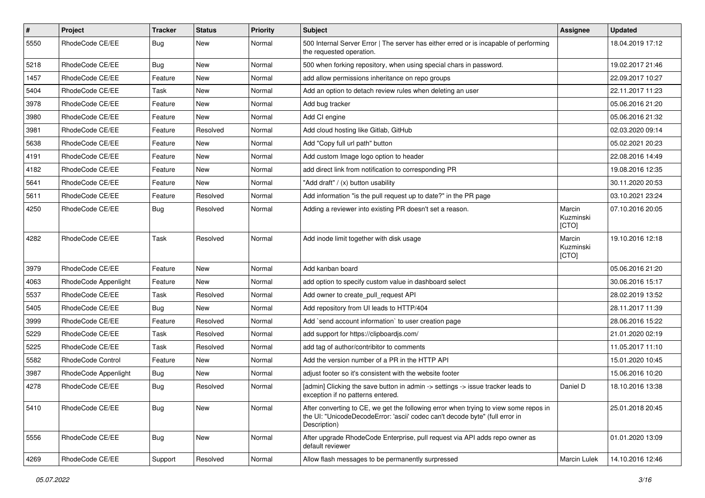| #    | Project              | <b>Tracker</b> | <b>Status</b> | <b>Priority</b> | Subject                                                                                                                                                                              | Assignee                     | <b>Updated</b>   |
|------|----------------------|----------------|---------------|-----------------|--------------------------------------------------------------------------------------------------------------------------------------------------------------------------------------|------------------------------|------------------|
| 5550 | RhodeCode CE/EE      | Bug            | New           | Normal          | 500 Internal Server Error   The server has either erred or is incapable of performing<br>the requested operation.                                                                    |                              | 18.04.2019 17:12 |
| 5218 | RhodeCode CE/EE      | Bug            | New           | Normal          | 500 when forking repository, when using special chars in password.                                                                                                                   |                              | 19.02.2017 21:46 |
| 1457 | RhodeCode CE/EE      | Feature        | New           | Normal          | add allow permissions inheritance on repo groups                                                                                                                                     |                              | 22.09.2017 10:27 |
| 5404 | RhodeCode CE/EE      | Task           | <b>New</b>    | Normal          | Add an option to detach review rules when deleting an user                                                                                                                           |                              | 22.11.2017 11:23 |
| 3978 | RhodeCode CE/EE      | Feature        | New           | Normal          | Add bug tracker                                                                                                                                                                      |                              | 05.06.2016 21:20 |
| 3980 | RhodeCode CE/EE      | Feature        | New           | Normal          | Add CI engine                                                                                                                                                                        |                              | 05.06.2016 21:32 |
| 3981 | RhodeCode CE/EE      | Feature        | Resolved      | Normal          | Add cloud hosting like Gitlab, GitHub                                                                                                                                                |                              | 02.03.2020 09:14 |
| 5638 | RhodeCode CE/EE      | Feature        | New           | Normal          | Add "Copy full url path" button                                                                                                                                                      |                              | 05.02.2021 20:23 |
| 4191 | RhodeCode CE/EE      | Feature        | <b>New</b>    | Normal          | Add custom Image logo option to header                                                                                                                                               |                              | 22.08.2016 14:49 |
| 4182 | RhodeCode CE/EE      | Feature        | New           | Normal          | add direct link from notification to corresponding PR                                                                                                                                |                              | 19.08.2016 12:35 |
| 5641 | RhodeCode CE/EE      | Feature        | New           | Normal          | "Add draft" / (x) button usability                                                                                                                                                   |                              | 30.11.2020 20:53 |
| 5611 | RhodeCode CE/EE      | Feature        | Resolved      | Normal          | Add information "is the pull request up to date?" in the PR page                                                                                                                     |                              | 03.10.2021 23:24 |
| 4250 | RhodeCode CE/EE      | <b>Bug</b>     | Resolved      | Normal          | Adding a reviewer into existing PR doesn't set a reason.                                                                                                                             | Marcin<br>Kuzminski<br>[CTO] | 07.10.2016 20:05 |
| 4282 | RhodeCode CE/EE      | Task           | Resolved      | Normal          | Add inode limit together with disk usage                                                                                                                                             | Marcin<br>Kuzminski<br>[CTO] | 19.10.2016 12:18 |
| 3979 | RhodeCode CE/EE      | Feature        | <b>New</b>    | Normal          | Add kanban board                                                                                                                                                                     |                              | 05.06.2016 21:20 |
| 4063 | RhodeCode Appenlight | Feature        | <b>New</b>    | Normal          | add option to specify custom value in dashboard select                                                                                                                               |                              | 30.06.2016 15:17 |
| 5537 | RhodeCode CE/EE      | Task           | Resolved      | Normal          | Add owner to create pull request API                                                                                                                                                 |                              | 28.02.2019 13:52 |
| 5405 | RhodeCode CE/EE      | Bug            | <b>New</b>    | Normal          | Add repository from UI leads to HTTP/404                                                                                                                                             |                              | 28.11.2017 11:39 |
| 3999 | RhodeCode CE/EE      | Feature        | Resolved      | Normal          | Add `send account information` to user creation page                                                                                                                                 |                              | 28.06.2016 15:22 |
| 5229 | RhodeCode CE/EE      | Task           | Resolved      | Normal          | add support for https://clipboardjs.com/                                                                                                                                             |                              | 21.01.2020 02:19 |
| 5225 | RhodeCode CE/EE      | Task           | Resolved      | Normal          | add tag of author/contribitor to comments                                                                                                                                            |                              | 11.05.2017 11:10 |
| 5582 | RhodeCode Control    | Feature        | New           | Normal          | Add the version number of a PR in the HTTP API                                                                                                                                       |                              | 15.01.2020 10:45 |
| 3987 | RhodeCode Appenlight | Bug            | New           | Normal          | adjust footer so it's consistent with the website footer                                                                                                                             |                              | 15.06.2016 10:20 |
| 4278 | RhodeCode CE/EE      | Bug            | Resolved      | Normal          | [admin] Clicking the save button in admin -> settings -> issue tracker leads to<br>exception if no patterns entered.                                                                 | Daniel D                     | 18.10.2016 13:38 |
| 5410 | RhodeCode CE/EE      | Bug            | New           | Normal          | After converting to CE, we get the following error when trying to view some repos in<br>the UI: "UnicodeDecodeError: 'ascii' codec can't decode byte" (full error in<br>Description) |                              | 25.01.2018 20:45 |
| 5556 | RhodeCode CE/EE      | <b>Bug</b>     | New           | Normal          | After upgrade RhodeCode Enterprise, pull request via API adds repo owner as<br>default reviewer                                                                                      |                              | 01.01.2020 13:09 |
| 4269 | RhodeCode CE/EE      | Support        | Resolved      | Normal          | Allow flash messages to be permanently surpressed                                                                                                                                    | Marcin Lulek                 | 14.10.2016 12:46 |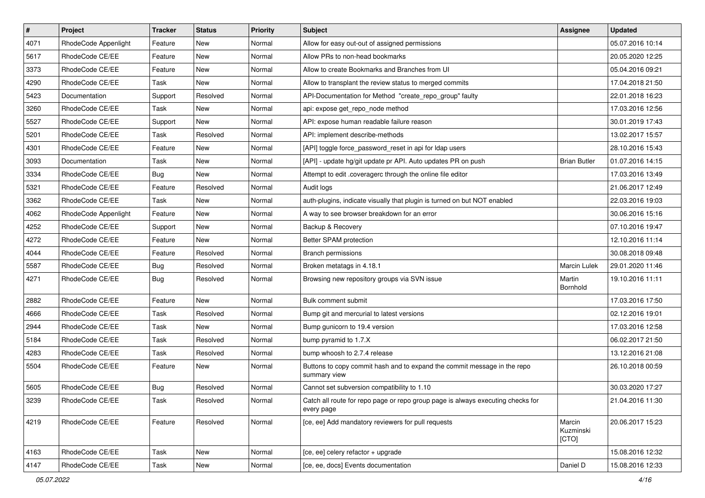| $\vert$ # | Project              | <b>Tracker</b> | <b>Status</b> | <b>Priority</b> | <b>Subject</b>                                                                                | Assignee                     | <b>Updated</b>   |
|-----------|----------------------|----------------|---------------|-----------------|-----------------------------------------------------------------------------------------------|------------------------------|------------------|
| 4071      | RhodeCode Appenlight | Feature        | New           | Normal          | Allow for easy out-out of assigned permissions                                                |                              | 05.07.2016 10:14 |
| 5617      | RhodeCode CE/EE      | Feature        | <b>New</b>    | Normal          | Allow PRs to non-head bookmarks                                                               |                              | 20.05.2020 12:25 |
| 3373      | RhodeCode CE/EE      | Feature        | New           | Normal          | Allow to create Bookmarks and Branches from UI                                                |                              | 05.04.2016 09:21 |
| 4290      | RhodeCode CE/EE      | Task           | New           | Normal          | Allow to transplant the review status to merged commits                                       |                              | 17.04.2018 21:50 |
| 5423      | Documentation        | Support        | Resolved      | Normal          | API-Documentation for Method "create_repo_group" faulty                                       |                              | 22.01.2018 16:23 |
| 3260      | RhodeCode CE/EE      | Task           | New           | Normal          | api: expose get repo node method                                                              |                              | 17.03.2016 12:56 |
| 5527      | RhodeCode CE/EE      | Support        | <b>New</b>    | Normal          | API: expose human readable failure reason                                                     |                              | 30.01.2019 17:43 |
| 5201      | RhodeCode CE/EE      | Task           | Resolved      | Normal          | API: implement describe-methods                                                               |                              | 13.02.2017 15:57 |
| 4301      | RhodeCode CE/EE      | Feature        | New           | Normal          | [API] toggle force_password_reset in api for Idap users                                       |                              | 28.10.2016 15:43 |
| 3093      | Documentation        | Task           | <b>New</b>    | Normal          | [API] - update hg/git update pr API. Auto updates PR on push                                  | <b>Brian Butler</b>          | 01.07.2016 14:15 |
| 3334      | RhodeCode CE/EE      | Bug            | New           | Normal          | Attempt to edit .coveragerc through the online file editor                                    |                              | 17.03.2016 13:49 |
| 5321      | RhodeCode CE/EE      | Feature        | Resolved      | Normal          | Audit logs                                                                                    |                              | 21.06.2017 12:49 |
| 3362      | RhodeCode CE/EE      | Task           | New           | Normal          | auth-plugins, indicate visually that plugin is turned on but NOT enabled                      |                              | 22.03.2016 19:03 |
| 4062      | RhodeCode Appenlight | Feature        | <b>New</b>    | Normal          | A way to see browser breakdown for an error                                                   |                              | 30.06.2016 15:16 |
| 4252      | RhodeCode CE/EE      | Support        | <b>New</b>    | Normal          | Backup & Recovery                                                                             |                              | 07.10.2016 19:47 |
| 4272      | RhodeCode CE/EE      | Feature        | New           | Normal          | Better SPAM protection                                                                        |                              | 12.10.2016 11:14 |
| 4044      | RhodeCode CE/EE      | Feature        | Resolved      | Normal          | <b>Branch permissions</b>                                                                     |                              | 30.08.2018 09:48 |
| 5587      | RhodeCode CE/EE      | Bug            | Resolved      | Normal          | Broken metatags in 4.18.1                                                                     | <b>Marcin Lulek</b>          | 29.01.2020 11:46 |
| 4271      | RhodeCode CE/EE      | Bug            | Resolved      | Normal          | Browsing new repository groups via SVN issue                                                  | Martin<br>Bornhold           | 19.10.2016 11:11 |
| 2882      | RhodeCode CE/EE      | Feature        | <b>New</b>    | Normal          | Bulk comment submit                                                                           |                              | 17.03.2016 17:50 |
| 4666      | RhodeCode CE/EE      | Task           | Resolved      | Normal          | Bump git and mercurial to latest versions                                                     |                              | 02.12.2016 19:01 |
| 2944      | RhodeCode CE/EE      | Task           | <b>New</b>    | Normal          | Bump gunicorn to 19.4 version                                                                 |                              | 17.03.2016 12:58 |
| 5184      | RhodeCode CE/EE      | Task           | Resolved      | Normal          | bump pyramid to 1.7.X                                                                         |                              | 06.02.2017 21:50 |
| 4283      | RhodeCode CE/EE      | Task           | Resolved      | Normal          | bump whoosh to 2.7.4 release                                                                  |                              | 13.12.2016 21:08 |
| 5504      | RhodeCode CE/EE      | Feature        | New           | Normal          | Buttons to copy commit hash and to expand the commit message in the repo<br>summary view      |                              | 26.10.2018 00:59 |
| 5605      | RhodeCode CE/EE      | Bug            | Resolved      | Normal          | Cannot set subversion compatibility to 1.10                                                   |                              | 30.03.2020 17:27 |
| 3239      | RhodeCode CE/EE      | Task           | Resolved      | Normal          | Catch all route for repo page or repo group page is always executing checks for<br>every page |                              | 21.04.2016 11:30 |
| 4219      | RhodeCode CE/EE      | Feature        | Resolved      | Normal          | [ce, ee] Add mandatory reviewers for pull requests                                            | Marcin<br>Kuzminski<br>[CTO] | 20.06.2017 15:23 |
| 4163      | RhodeCode CE/EE      | Task           | <b>New</b>    | Normal          | [ce, ee] celery refactor + upgrade                                                            |                              | 15.08.2016 12:32 |
| 4147      | RhodeCode CE/EE      | Task           | New           | Normal          | [ce, ee, docs] Events documentation                                                           | Daniel D                     | 15.08.2016 12:33 |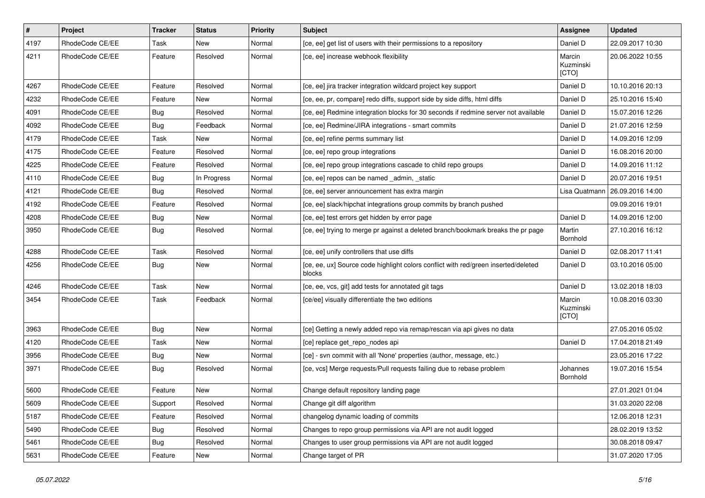| $\pmb{\#}$ | Project         | <b>Tracker</b> | <b>Status</b> | <b>Priority</b> | <b>Subject</b>                                                                               | <b>Assignee</b>              | <b>Updated</b>   |
|------------|-----------------|----------------|---------------|-----------------|----------------------------------------------------------------------------------------------|------------------------------|------------------|
| 4197       | RhodeCode CE/EE | Task           | New           | Normal          | [ce, ee] get list of users with their permissions to a repository                            | Daniel D                     | 22.09.2017 10:30 |
| 4211       | RhodeCode CE/EE | Feature        | Resolved      | Normal          | [ce, ee] increase webhook flexibility                                                        | Marcin<br>Kuzminski<br>[CTO] | 20.06.2022 10:55 |
| 4267       | RhodeCode CE/EE | Feature        | Resolved      | Normal          | [ce, ee] jira tracker integration wildcard project key support                               | Daniel D                     | 10.10.2016 20:13 |
| 4232       | RhodeCode CE/EE | Feature        | New           | Normal          | [ce, ee, pr, compare] redo diffs, support side by side diffs, html diffs                     | Daniel D                     | 25.10.2016 15:40 |
| 4091       | RhodeCode CE/EE | Bug            | Resolved      | Normal          | [ce, ee] Redmine integration blocks for 30 seconds if redmine server not available           | Daniel D                     | 15.07.2016 12:26 |
| 4092       | RhodeCode CE/EE | Bug            | Feedback      | Normal          | [ce, ee] Redmine/JIRA integrations - smart commits                                           | Daniel D                     | 21.07.2016 12:59 |
| 4179       | RhodeCode CE/EE | Task           | New           | Normal          | [ce, ee] refine perms summary list                                                           | Daniel D                     | 14.09.2016 12:09 |
| 4175       | RhodeCode CE/EE | Feature        | Resolved      | Normal          | [ce, ee] repo group integrations                                                             | Daniel D                     | 16.08.2016 20:00 |
| 4225       | RhodeCode CE/EE | Feature        | Resolved      | Normal          | [ce, ee] repo group integrations cascade to child repo groups                                | Daniel D                     | 14.09.2016 11:12 |
| 4110       | RhodeCode CE/EE | Bug            | In Progress   | Normal          | [ce, ee] repos can be named _admin, _static                                                  | Daniel D                     | 20.07.2016 19:51 |
| 4121       | RhodeCode CE/EE | Bug            | Resolved      | Normal          | [ce, ee] server announcement has extra margin                                                | Lisa Quatmann                | 26.09.2016 14:00 |
| 4192       | RhodeCode CE/EE | Feature        | Resolved      | Normal          | [ce, ee] slack/hipchat integrations group commits by branch pushed                           |                              | 09.09.2016 19:01 |
| 4208       | RhodeCode CE/EE | Bug            | New           | Normal          | [ce, ee] test errors get hidden by error page                                                | Daniel D                     | 14.09.2016 12:00 |
| 3950       | RhodeCode CE/EE | Bug            | Resolved      | Normal          | [ce, ee] trying to merge pr against a deleted branch/bookmark breaks the pr page             | Martin<br>Bornhold           | 27.10.2016 16:12 |
| 4288       | RhodeCode CE/EE | Task           | Resolved      | Normal          | [ce, ee] unify controllers that use diffs                                                    | Daniel D                     | 02.08.2017 11:41 |
| 4256       | RhodeCode CE/EE | Bug            | New           | Normal          | [ce, ee, ux] Source code highlight colors conflict with red/green inserted/deleted<br>blocks | Daniel D                     | 03.10.2016 05:00 |
| 4246       | RhodeCode CE/EE | Task           | New           | Normal          | [ce, ee, vcs, git] add tests for annotated git tags                                          | Daniel D                     | 13.02.2018 18:03 |
| 3454       | RhodeCode CE/EE | Task           | Feedback      | Normal          | [ce/ee] visually differentiate the two editions                                              | Marcin<br>Kuzminski<br>[CTO] | 10.08.2016 03:30 |
| 3963       | RhodeCode CE/EE | Bug            | New           | Normal          | [ce] Getting a newly added repo via remap/rescan via api gives no data                       |                              | 27.05.2016 05:02 |
| 4120       | RhodeCode CE/EE | Task           | New           | Normal          | [ce] replace get_repo_nodes api                                                              | Daniel D                     | 17.04.2018 21:49 |
| 3956       | RhodeCode CE/EE | <b>Bug</b>     | New           | Normal          | [ce] - svn commit with all 'None' properties (author, message, etc.)                         |                              | 23.05.2016 17:22 |
| 3971       | RhodeCode CE/EE | Bug            | Resolved      | Normal          | [ce, vcs] Merge requests/Pull requests failing due to rebase problem                         | Johannes<br>Bornhold         | 19.07.2016 15:54 |
| 5600       | RhodeCode CE/EE | Feature        | New           | Normal          | Change default repository landing page                                                       |                              | 27.01.2021 01:04 |
| 5609       | RhodeCode CE/EE | Support        | Resolved      | Normal          | Change git diff algorithm                                                                    |                              | 31.03.2020 22:08 |
| 5187       | RhodeCode CE/EE | Feature        | Resolved      | Normal          | changelog dynamic loading of commits                                                         |                              | 12.06.2018 12:31 |
| 5490       | RhodeCode CE/EE | Bug            | Resolved      | Normal          | Changes to repo group permissions via API are not audit logged                               |                              | 28.02.2019 13:52 |
| 5461       | RhodeCode CE/EE | <b>Bug</b>     | Resolved      | Normal          | Changes to user group permissions via API are not audit logged                               |                              | 30.08.2018 09:47 |
| 5631       | RhodeCode CE/EE | Feature        | New           | Normal          | Change target of PR                                                                          |                              | 31.07.2020 17:05 |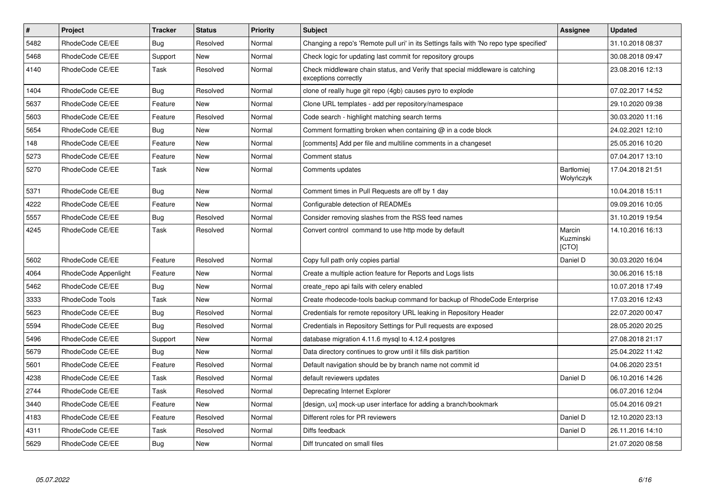| $\pmb{\#}$ | <b>Project</b>       | <b>Tracker</b> | <b>Status</b> | <b>Priority</b> | <b>Subject</b>                                                                                        | <b>Assignee</b>                     | <b>Updated</b>   |
|------------|----------------------|----------------|---------------|-----------------|-------------------------------------------------------------------------------------------------------|-------------------------------------|------------------|
| 5482       | RhodeCode CE/EE      | Bug            | Resolved      | Normal          | Changing a repo's 'Remote pull uri' in its Settings fails with 'No repo type specified'               |                                     | 31.10.2018 08:37 |
| 5468       | RhodeCode CE/EE      | Support        | New           | Normal          | Check logic for updating last commit for repository groups                                            |                                     | 30.08.2018 09:47 |
| 4140       | RhodeCode CE/EE      | Task           | Resolved      | Normal          | Check middleware chain status, and Verify that special middleware is catching<br>exceptions correctly |                                     | 23.08.2016 12:13 |
| 1404       | RhodeCode CE/EE      | Bug            | Resolved      | Normal          | clone of really huge git repo (4gb) causes pyro to explode                                            |                                     | 07.02.2017 14:52 |
| 5637       | RhodeCode CE/EE      | Feature        | <b>New</b>    | Normal          | Clone URL templates - add per repository/namespace                                                    |                                     | 29.10.2020 09:38 |
| 5603       | RhodeCode CE/EE      | Feature        | Resolved      | Normal          | Code search - highlight matching search terms                                                         |                                     | 30.03.2020 11:16 |
| 5654       | RhodeCode CE/EE      | Bug            | <b>New</b>    | Normal          | Comment formatting broken when containing $@$ in a code block                                         |                                     | 24.02.2021 12:10 |
| 148        | RhodeCode CE/EE      | Feature        | New           | Normal          | [comments] Add per file and multiline comments in a changeset                                         |                                     | 25.05.2016 10:20 |
| 5273       | RhodeCode CE/EE      | Feature        | <b>New</b>    | Normal          | Comment status                                                                                        |                                     | 07.04.2017 13:10 |
| 5270       | RhodeCode CE/EE      | Task           | <b>New</b>    | Normal          | Comments updates                                                                                      | <b>Bartłomiej</b><br>Wołyńczyk      | 17.04.2018 21:51 |
| 5371       | RhodeCode CE/EE      | Bug            | <b>New</b>    | Normal          | Comment times in Pull Requests are off by 1 day                                                       |                                     | 10.04.2018 15:11 |
| 4222       | RhodeCode CE/EE      | Feature        | New           | Normal          | Configurable detection of READMEs                                                                     |                                     | 09.09.2016 10:05 |
| 5557       | RhodeCode CE/EE      | Bug            | Resolved      | Normal          | Consider removing slashes from the RSS feed names                                                     |                                     | 31.10.2019 19:54 |
| 4245       | RhodeCode CE/EE      | Task           | Resolved      | Normal          | Convert control command to use http mode by default                                                   | Marcin<br>Kuzminski<br><b>[CTO]</b> | 14.10.2016 16:13 |
| 5602       | RhodeCode CE/EE      | Feature        | Resolved      | Normal          | Copy full path only copies partial                                                                    | Daniel D                            | 30.03.2020 16:04 |
| 4064       | RhodeCode Appenlight | Feature        | New           | Normal          | Create a multiple action feature for Reports and Logs lists                                           |                                     | 30.06.2016 15:18 |
| 5462       | RhodeCode CE/EE      | Bug            | New           | Normal          | create repo api fails with celery enabled                                                             |                                     | 10.07.2018 17:49 |
| 3333       | RhodeCode Tools      | Task           | New           | Normal          | Create rhodecode-tools backup command for backup of RhodeCode Enterprise                              |                                     | 17.03.2016 12:43 |
| 5623       | RhodeCode CE/EE      | Bug            | Resolved      | Normal          | Credentials for remote repository URL leaking in Repository Header                                    |                                     | 22.07.2020 00:47 |
| 5594       | RhodeCode CE/EE      | Bug            | Resolved      | Normal          | Credentials in Repository Settings for Pull requests are exposed                                      |                                     | 28.05.2020 20:25 |
| 5496       | RhodeCode CE/EE      | Support        | New           | Normal          | database migration 4.11.6 mysql to 4.12.4 postgres                                                    |                                     | 27.08.2018 21:17 |
| 5679       | RhodeCode CE/EE      | Bug            | <b>New</b>    | Normal          | Data directory continues to grow until it fills disk partition                                        |                                     | 25.04.2022 11:42 |
| 5601       | RhodeCode CE/EE      | Feature        | Resolved      | Normal          | Default navigation should be by branch name not commit id                                             |                                     | 04.06.2020 23:51 |
| 4238       | RhodeCode CE/EE      | Task           | Resolved      | Normal          | default reviewers updates                                                                             | Daniel D                            | 06.10.2016 14:26 |
| 2744       | RhodeCode CE/EE      | Task           | Resolved      | Normal          | Deprecating Internet Explorer                                                                         |                                     | 06.07.2016 12:04 |
| 3440       | RhodeCode CE/EE      | Feature        | <b>New</b>    | Normal          | [design, ux] mock-up user interface for adding a branch/bookmark                                      |                                     | 05.04.2016 09:21 |
| 4183       | RhodeCode CE/EE      | Feature        | Resolved      | Normal          | Different roles for PR reviewers                                                                      | Daniel D                            | 12.10.2020 23:13 |
| 4311       | RhodeCode CE/EE      | Task           | Resolved      | Normal          | Diffs feedback                                                                                        | Daniel D                            | 26.11.2016 14:10 |
| 5629       | RhodeCode CE/EE      | Bug            | New           | Normal          | Diff truncated on small files                                                                         |                                     | 21.07.2020 08:58 |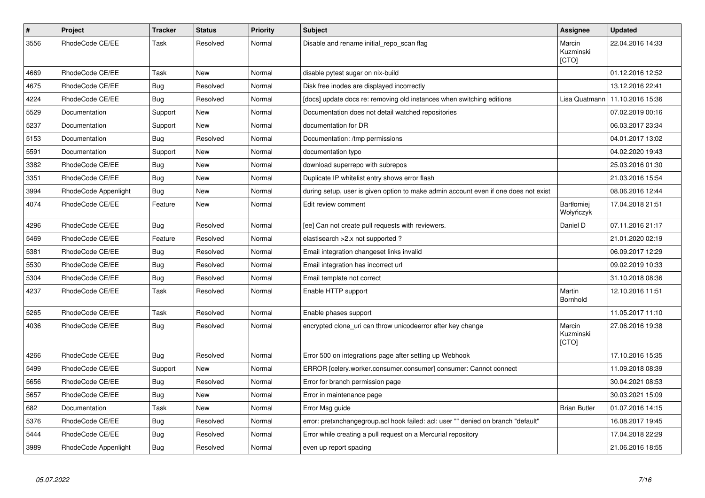| $\pmb{\#}$ | Project              | <b>Tracker</b> | <b>Status</b> | Priority | <b>Subject</b>                                                                      | Assignee                     | <b>Updated</b>   |
|------------|----------------------|----------------|---------------|----------|-------------------------------------------------------------------------------------|------------------------------|------------------|
| 3556       | RhodeCode CE/EE      | Task           | Resolved      | Normal   | Disable and rename initial_repo_scan flag                                           | Marcin<br>Kuzminski<br>[CTO] | 22.04.2016 14:33 |
| 4669       | RhodeCode CE/EE      | Task           | New           | Normal   | disable pytest sugar on nix-build                                                   |                              | 01.12.2016 12:52 |
| 4675       | RhodeCode CE/EE      | Bug            | Resolved      | Normal   | Disk free inodes are displayed incorrectly                                          |                              | 13.12.2016 22:41 |
| 4224       | RhodeCode CE/EE      | Bug            | Resolved      | Normal   | [docs] update docs re: removing old instances when switching editions               | Lisa Quatmann                | 11.10.2016 15:36 |
| 5529       | Documentation        | Support        | <b>New</b>    | Normal   | Documentation does not detail watched repositories                                  |                              | 07.02.2019 00:16 |
| 5237       | Documentation        | Support        | New           | Normal   | documentation for DR                                                                |                              | 06.03.2017 23:34 |
| 5153       | Documentation        | <b>Bug</b>     | Resolved      | Normal   | Documentation: /tmp permissions                                                     |                              | 04.01.2017 13:02 |
| 5591       | Documentation        | Support        | New           | Normal   | documentation typo                                                                  |                              | 04.02.2020 19:43 |
| 3382       | RhodeCode CE/EE      | <b>Bug</b>     | <b>New</b>    | Normal   | download superrepo with subrepos                                                    |                              | 25.03.2016 01:30 |
| 3351       | RhodeCode CE/EE      | Bug            | <b>New</b>    | Normal   | Duplicate IP whitelist entry shows error flash                                      |                              | 21.03.2016 15:54 |
| 3994       | RhodeCode Appenlight | Bug            | New           | Normal   | during setup, user is given option to make admin account even if one does not exist |                              | 08.06.2016 12:44 |
| 4074       | RhodeCode CE/EE      | Feature        | <b>New</b>    | Normal   | Edit review comment                                                                 | Bartłomiej<br>Wołyńczyk      | 17.04.2018 21:51 |
| 4296       | RhodeCode CE/EE      | Bug            | Resolved      | Normal   | [ee] Can not create pull requests with reviewers.                                   | Daniel D                     | 07.11.2016 21:17 |
| 5469       | RhodeCode CE/EE      | Feature        | Resolved      | Normal   | elastisearch > 2.x not supported ?                                                  |                              | 21.01.2020 02:19 |
| 5381       | RhodeCode CE/EE      | Bug            | Resolved      | Normal   | Email integration changeset links invalid                                           |                              | 06.09.2017 12:29 |
| 5530       | RhodeCode CE/EE      | Bug            | Resolved      | Normal   | Email integration has incorrect url                                                 |                              | 09.02.2019 10:33 |
| 5304       | RhodeCode CE/EE      | Bug            | Resolved      | Normal   | Email template not correct                                                          |                              | 31.10.2018 08:36 |
| 4237       | RhodeCode CE/EE      | Task           | Resolved      | Normal   | Enable HTTP support                                                                 | Martin<br>Bornhold           | 12.10.2016 11:51 |
| 5265       | RhodeCode CE/EE      | Task           | Resolved      | Normal   | Enable phases support                                                               |                              | 11.05.2017 11:10 |
| 4036       | RhodeCode CE/EE      | Bug            | Resolved      | Normal   | encrypted clone uri can throw unicodeerror after key change                         | Marcin<br>Kuzminski<br>[CTO] | 27.06.2016 19:38 |
| 4266       | RhodeCode CE/EE      | Bug            | Resolved      | Normal   | Error 500 on integrations page after setting up Webhook                             |                              | 17.10.2016 15:35 |
| 5499       | RhodeCode CE/EE      | Support        | <b>New</b>    | Normal   | ERROR [celery.worker.consumer.consumer] consumer: Cannot connect                    |                              | 11.09.2018 08:39 |
| 5656       | RhodeCode CE/EE      | <b>Bug</b>     | Resolved      | Normal   | Error for branch permission page                                                    |                              | 30.04.2021 08:53 |
| 5657       | RhodeCode CE/EE      | Bug            | New           | Normal   | Error in maintenance page                                                           |                              | 30.03.2021 15:09 |
| 682        | Documentation        | Task           | New           | Normal   | Error Msg guide                                                                     | <b>Brian Butler</b>          | 01.07.2016 14:15 |
| 5376       | RhodeCode CE/EE      | Bug            | Resolved      | Normal   | error: pretxnchangegroup.acl hook failed: acl: user "" denied on branch "default"   |                              | 16.08.2017 19:45 |
| 5444       | RhodeCode CE/EE      | Bug            | Resolved      | Normal   | Error while creating a pull request on a Mercurial repository                       |                              | 17.04.2018 22:29 |
| 3989       | RhodeCode Appenlight | Bug            | Resolved      | Normal   | even up report spacing                                                              |                              | 21.06.2016 18:55 |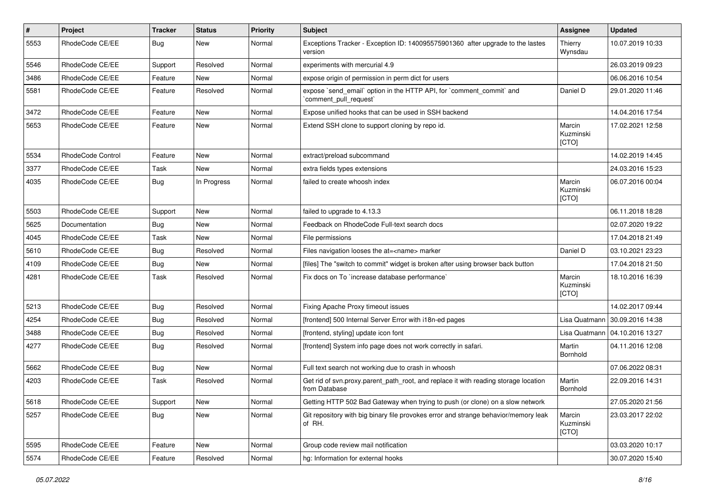| $\pmb{\#}$ | Project           | <b>Tracker</b> | <b>Status</b> | Priority | Subject                                                                                              | Assignee                     | <b>Updated</b>   |
|------------|-------------------|----------------|---------------|----------|------------------------------------------------------------------------------------------------------|------------------------------|------------------|
| 5553       | RhodeCode CE/EE   | Bug            | <b>New</b>    | Normal   | Exceptions Tracker - Exception ID: 140095575901360 after upgrade to the lastes<br>version            | Thierry<br>Wynsdau           | 10.07.2019 10:33 |
| 5546       | RhodeCode CE/EE   | Support        | Resolved      | Normal   | experiments with mercurial 4.9                                                                       |                              | 26.03.2019 09:23 |
| 3486       | RhodeCode CE/EE   | Feature        | New           | Normal   | expose origin of permission in perm dict for users                                                   |                              | 06.06.2016 10:54 |
| 5581       | RhodeCode CE/EE   | Feature        | Resolved      | Normal   | expose `send_email` option in the HTTP API, for `comment_commit` and<br>`comment pull request`       | Daniel D                     | 29.01.2020 11:46 |
| 3472       | RhodeCode CE/EE   | Feature        | <b>New</b>    | Normal   | Expose unified hooks that can be used in SSH backend                                                 |                              | 14.04.2016 17:54 |
| 5653       | RhodeCode CE/EE   | Feature        | <b>New</b>    | Normal   | Extend SSH clone to support cloning by repo id.                                                      | Marcin<br>Kuzminski<br>[CTO] | 17.02.2021 12:58 |
| 5534       | RhodeCode Control | Feature        | New           | Normal   | extract/preload subcommand                                                                           |                              | 14.02.2019 14:45 |
| 3377       | RhodeCode CE/EE   | Task           | <b>New</b>    | Normal   | extra fields types extensions                                                                        |                              | 24.03.2016 15:23 |
| 4035       | RhodeCode CE/EE   | <b>Bug</b>     | In Progress   | Normal   | failed to create whoosh index                                                                        | Marcin<br>Kuzminski<br>[CTO] | 06.07.2016 00:04 |
| 5503       | RhodeCode CE/EE   | Support        | New           | Normal   | failed to upgrade to 4.13.3                                                                          |                              | 06.11.2018 18:28 |
| 5625       | Documentation     | Bug            | New           | Normal   | Feedback on RhodeCode Full-text search docs                                                          |                              | 02.07.2020 19:22 |
| 4045       | RhodeCode CE/EE   | Task           | <b>New</b>    | Normal   | File permissions                                                                                     |                              | 17.04.2018 21:49 |
| 5610       | RhodeCode CE/EE   | Bug            | Resolved      | Normal   | Files navigation looses the at= <name> marker</name>                                                 | Daniel D                     | 03.10.2021 23:23 |
| 4109       | RhodeCode CE/EE   | <b>Bug</b>     | New           | Normal   | [files] The "switch to commit" widget is broken after using browser back button                      |                              | 17.04.2018 21:50 |
| 4281       | RhodeCode CE/EE   | Task           | Resolved      | Normal   | Fix docs on To `increase database performance`                                                       | Marcin<br>Kuzminski<br>[CTO] | 18.10.2016 16:39 |
| 5213       | RhodeCode CE/EE   | <b>Bug</b>     | Resolved      | Normal   | Fixing Apache Proxy timeout issues                                                                   |                              | 14.02.2017 09:44 |
| 4254       | RhodeCode CE/EE   | Bug            | Resolved      | Normal   | [frontend] 500 Internal Server Error with i18n-ed pages                                              | Lisa Quatmann                | 30.09.2016 14:38 |
| 3488       | RhodeCode CE/EE   | Bug            | Resolved      | Normal   | [frontend, styling] update icon font                                                                 | Lisa Quatmann                | 04.10.2016 13:27 |
| 4277       | RhodeCode CE/EE   | Bug            | Resolved      | Normal   | [frontend] System info page does not work correctly in safari.                                       | Martin<br>Bornhold           | 04.11.2016 12:08 |
| 5662       | RhodeCode CE/EE   | <b>Bug</b>     | New           | Normal   | Full text search not working due to crash in whoosh                                                  |                              | 07.06.2022 08:31 |
| 4203       | RhodeCode CE/EE   | Task           | Resolved      | Normal   | Get rid of svn.proxy.parent_path_root, and replace it with reading storage location<br>from Database | Martin<br><b>Bornhold</b>    | 22.09.2016 14:31 |
| 5618       | RhodeCode CE/EE   | Support        | New           | Normal   | Getting HTTP 502 Bad Gateway when trying to push (or clone) on a slow network                        |                              | 27.05.2020 21:56 |
| 5257       | RhodeCode CE/EE   | Bug            | New           | Normal   | Git repository with big binary file provokes error and strange behavior/memory leak<br>of RH.        | Marcin<br>Kuzminski<br>[CTO] | 23.03.2017 22:02 |
| 5595       | RhodeCode CE/EE   | Feature        | New           | Normal   | Group code review mail notification                                                                  |                              | 03.03.2020 10:17 |
| 5574       | RhodeCode CE/EE   | Feature        | Resolved      | Normal   | hg: Information for external hooks                                                                   |                              | 30.07.2020 15:40 |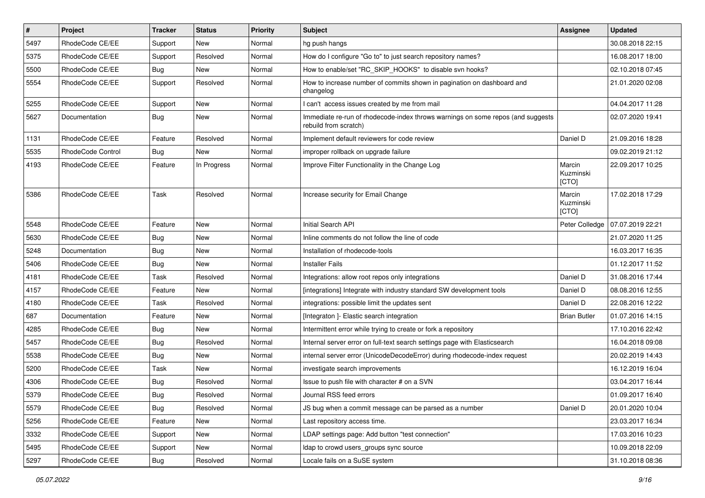| $\vert$ # | Project           | <b>Tracker</b> | <b>Status</b> | <b>Priority</b> | Subject                                                                                                  | <b>Assignee</b>              | <b>Updated</b>   |
|-----------|-------------------|----------------|---------------|-----------------|----------------------------------------------------------------------------------------------------------|------------------------------|------------------|
| 5497      | RhodeCode CE/EE   | Support        | <b>New</b>    | Normal          | hg push hangs                                                                                            |                              | 30.08.2018 22:15 |
| 5375      | RhodeCode CE/EE   | Support        | Resolved      | Normal          | How do I configure "Go to" to just search repository names?                                              |                              | 16.08.2017 18:00 |
| 5500      | RhodeCode CE/EE   | Bug            | New           | Normal          | How to enable/set "RC SKIP HOOKS" to disable svn hooks?                                                  |                              | 02.10.2018 07:45 |
| 5554      | RhodeCode CE/EE   | Support        | Resolved      | Normal          | How to increase number of commits shown in pagination on dashboard and<br>changelog                      |                              | 21.01.2020 02:08 |
| 5255      | RhodeCode CE/EE   | Support        | <b>New</b>    | Normal          | I can't access issues created by me from mail                                                            |                              | 04.04.2017 11:28 |
| 5627      | Documentation     | <b>Bug</b>     | New           | Normal          | Immediate re-run of rhodecode-index throws warnings on some repos (and suggests<br>rebuild from scratch) |                              | 02.07.2020 19:41 |
| 1131      | RhodeCode CE/EE   | Feature        | Resolved      | Normal          | Implement default reviewers for code review                                                              | Daniel D                     | 21.09.2016 18:28 |
| 5535      | RhodeCode Control | Bug            | <b>New</b>    | Normal          | improper rollback on upgrade failure                                                                     |                              | 09.02.2019 21:12 |
| 4193      | RhodeCode CE/EE   | Feature        | In Progress   | Normal          | Improve Filter Functionality in the Change Log                                                           | Marcin<br>Kuzminski<br>[CTO] | 22.09.2017 10:25 |
| 5386      | RhodeCode CE/EE   | Task           | Resolved      | Normal          | Increase security for Email Change                                                                       | Marcin<br>Kuzminski<br>[CTO] | 17.02.2018 17:29 |
| 5548      | RhodeCode CE/EE   | Feature        | <b>New</b>    | Normal          | Initial Search API                                                                                       | Peter Colledge               | 07.07.2019 22:21 |
| 5630      | RhodeCode CE/EE   | <b>Bug</b>     | New           | Normal          | Inline comments do not follow the line of code                                                           |                              | 21.07.2020 11:25 |
| 5248      | Documentation     | Bug            | New           | Normal          | Installation of rhodecode-tools                                                                          |                              | 16.03.2017 16:35 |
| 5406      | RhodeCode CE/EE   | Bug            | New           | Normal          | <b>Installer Fails</b>                                                                                   |                              | 01.12.2017 11:52 |
| 4181      | RhodeCode CE/EE   | Task           | Resolved      | Normal          | Integrations: allow root repos only integrations                                                         | Daniel D                     | 31.08.2016 17:44 |
| 4157      | RhodeCode CE/EE   | Feature        | <b>New</b>    | Normal          | [integrations] Integrate with industry standard SW development tools                                     | Daniel D                     | 08.08.2016 12:55 |
| 4180      | RhodeCode CE/EE   | Task           | Resolved      | Normal          | integrations: possible limit the updates sent                                                            | Daniel D                     | 22.08.2016 12:22 |
| 687       | Documentation     | Feature        | <b>New</b>    | Normal          | [Integraton ]- Elastic search integration                                                                | <b>Brian Butler</b>          | 01.07.2016 14:15 |
| 4285      | RhodeCode CE/EE   | <b>Bug</b>     | <b>New</b>    | Normal          | Intermittent error while trying to create or fork a repository                                           |                              | 17.10.2016 22:42 |
| 5457      | RhodeCode CE/EE   | Bug            | Resolved      | Normal          | Internal server error on full-text search settings page with Elasticsearch                               |                              | 16.04.2018 09:08 |
| 5538      | RhodeCode CE/EE   | Bug            | New           | Normal          | internal server error (UnicodeDecodeError) during rhodecode-index request                                |                              | 20.02.2019 14:43 |
| 5200      | RhodeCode CE/EE   | Task           | New           | Normal          | investigate search improvements                                                                          |                              | 16.12.2019 16:04 |
| 4306      | RhodeCode CE/EE   | Bug            | Resolved      | Normal          | Issue to push file with character # on a SVN                                                             |                              | 03.04.2017 16:44 |
| 5379      | RhodeCode CE/EE   | Bug            | Resolved      | Normal          | Journal RSS feed errors                                                                                  |                              | 01.09.2017 16:40 |
| 5579      | RhodeCode CE/EE   | Bug            | Resolved      | Normal          | JS bug when a commit message can be parsed as a number                                                   | Daniel D                     | 20.01.2020 10:04 |
| 5256      | RhodeCode CE/EE   | Feature        | New           | Normal          | Last repository access time.                                                                             |                              | 23.03.2017 16:34 |
| 3332      | RhodeCode CE/EE   | Support        | New           | Normal          | LDAP settings page: Add button "test connection"                                                         |                              | 17.03.2016 10:23 |
| 5495      | RhodeCode CE/EE   | Support        | New           | Normal          | Idap to crowd users_groups sync source                                                                   |                              | 10.09.2018 22:09 |
| 5297      | RhodeCode CE/EE   | Bug            | Resolved      | Normal          | Locale fails on a SuSE system                                                                            |                              | 31.10.2018 08:36 |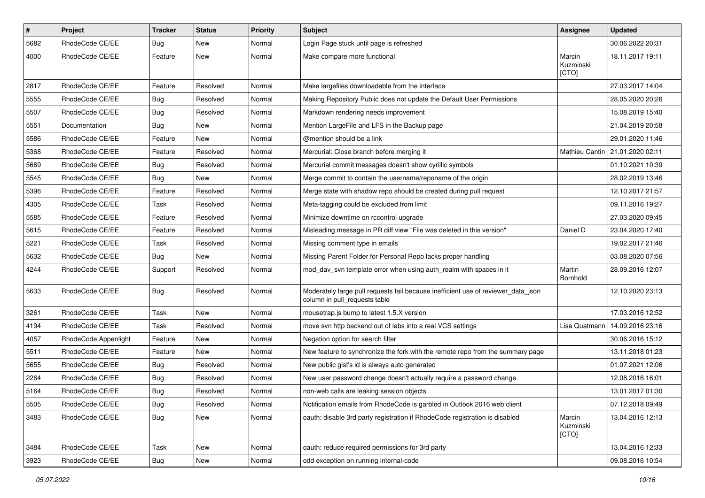| $\sharp$ | Project              | Tracker    | <b>Status</b> | <b>Priority</b> | <b>Subject</b>                                                                                                     | Assignee                     | <b>Updated</b>   |
|----------|----------------------|------------|---------------|-----------------|--------------------------------------------------------------------------------------------------------------------|------------------------------|------------------|
| 5682     | RhodeCode CE/EE      | <b>Bug</b> | New           | Normal          | Login Page stuck until page is refreshed                                                                           |                              | 30.06.2022 20:31 |
| 4000     | RhodeCode CE/EE      | Feature    | <b>New</b>    | Normal          | Make compare more functional                                                                                       | Marcin<br>Kuzminski<br>[CTO] | 18.11.2017 19:11 |
| 2817     | RhodeCode CE/EE      | Feature    | Resolved      | Normal          | Make largefiles downloadable from the interface                                                                    |                              | 27.03.2017 14:04 |
| 5555     | RhodeCode CE/EE      | <b>Bug</b> | Resolved      | Normal          | Making Repository Public does not update the Default User Permissions                                              |                              | 28.05.2020 20:26 |
| 5507     | RhodeCode CE/EE      | <b>Bug</b> | Resolved      | Normal          | Markdown rendering needs improvement                                                                               |                              | 15.08.2019 15:40 |
| 5551     | Documentation        | Bug        | New           | Normal          | Mention LargeFile and LFS in the Backup page                                                                       |                              | 21.04.2019 20:58 |
| 5586     | RhodeCode CE/EE      | Feature    | New           | Normal          | @mention should be a link                                                                                          |                              | 29.01.2020 11:46 |
| 5368     | RhodeCode CE/EE      | Feature    | Resolved      | Normal          | Mercurial: Close branch before merging it                                                                          | Mathieu Cantin               | 21.01.2020 02:11 |
| 5669     | RhodeCode CE/EE      | <b>Bug</b> | Resolved      | Normal          | Mercurial commit messages doesn't show cyrillic symbols                                                            |                              | 01.10.2021 10:39 |
| 5545     | RhodeCode CE/EE      | Bug        | <b>New</b>    | Normal          | Merge commit to contain the username/reponame of the origin                                                        |                              | 28.02.2019 13:46 |
| 5396     | RhodeCode CE/EE      | Feature    | Resolved      | Normal          | Merge state with shadow repo should be created during pull request                                                 |                              | 12.10.2017 21:57 |
| 4305     | RhodeCode CE/EE      | Task       | Resolved      | Normal          | Meta-tagging could be excluded from limit                                                                          |                              | 09.11.2016 19:27 |
| 5585     | RhodeCode CE/EE      | Feature    | Resolved      | Normal          | Minimize downtime on rccontrol upgrade                                                                             |                              | 27.03.2020 09:45 |
| 5615     | RhodeCode CE/EE      | Feature    | Resolved      | Normal          | Misleading message in PR diff view "File was deleted in this version"                                              | Daniel D                     | 23.04.2020 17:40 |
| 5221     | RhodeCode CE/EE      | Task       | Resolved      | Normal          | Missing comment type in emails                                                                                     |                              | 19.02.2017 21:46 |
| 5632     | RhodeCode CE/EE      | Bug        | New           | Normal          | Missing Parent Folder for Personal Repo lacks proper handling                                                      |                              | 03.08.2020 07:56 |
| 4244     | RhodeCode CE/EE      | Support    | Resolved      | Normal          | mod_dav_svn template error when using auth_realm with spaces in it                                                 | Martin<br>Bornhold           | 28.09.2016 12:07 |
| 5633     | RhodeCode CE/EE      | Bug        | Resolved      | Normal          | Moderately large pull requests fail because inefficient use of reviewer_data_json<br>column in pull requests table |                              | 12.10.2020 23:13 |
| 3261     | RhodeCode CE/EE      | Task       | <b>New</b>    | Normal          | mousetrap.js bump to latest 1.5.X version                                                                          |                              | 17.03.2016 12:52 |
| 4194     | RhodeCode CE/EE      | Task       | Resolved      | Normal          | move svn http backend out of labs into a real VCS settings                                                         | Lisa Quatmann                | 14.09.2016 23:16 |
| 4057     | RhodeCode Appenlight | Feature    | New           | Normal          | Negation option for search filter                                                                                  |                              | 30.06.2016 15:12 |
| 5511     | RhodeCode CE/EE      | Feature    | New           | Normal          | New feature to synchronize the fork with the remote repo from the summary page                                     |                              | 13.11.2018 01:23 |
| 5655     | RhodeCode CE/EE      | Bug        | Resolved      | Normal          | New public gist's id is always auto generated                                                                      |                              | 01.07.2021 12:06 |
| 2264     | RhodeCode CE/EE      | <b>Bug</b> | Resolved      | Normal          | New user password change doesn't actually require a password change.                                               |                              | 12.08.2016 16:01 |
| 5164     | RhodeCode CE/EE      | <b>Bug</b> | Resolved      | Normal          | non-web calls are leaking session objects                                                                          |                              | 13.01.2017 01:30 |
| 5505     | RhodeCode CE/EE      | <b>Bug</b> | Resolved      | Normal          | Notification emails from RhodeCode is garbled in Outlook 2016 web client                                           |                              | 07.12.2018 09:49 |
| 3483     | RhodeCode CE/EE      | <b>Bug</b> | New           | Normal          | oauth: disable 3rd party registration if RhodeCode registration is disabled                                        | Marcin<br>Kuzminski<br>[CTO] | 13.04.2016 12:13 |
| 3484     | RhodeCode CE/EE      | Task       | New           | Normal          | oauth: reduce required permissions for 3rd party                                                                   |                              | 13.04.2016 12:33 |
| 3923     | RhodeCode CE/EE      | <b>Bug</b> | New           | Normal          | odd exception on running internal-code                                                                             |                              | 09.08.2016 10:54 |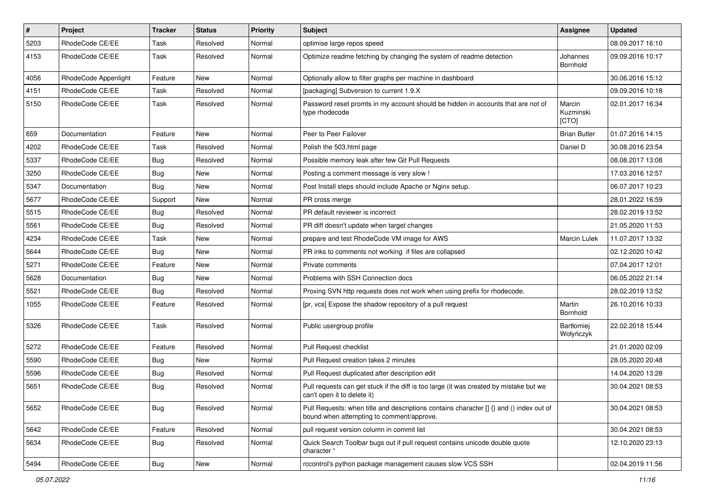| $\pmb{\#}$ | Project              | <b>Tracker</b> | <b>Status</b> | Priority | Subject                                                                                                                              | Assignee                     | <b>Updated</b>   |
|------------|----------------------|----------------|---------------|----------|--------------------------------------------------------------------------------------------------------------------------------------|------------------------------|------------------|
| 5203       | RhodeCode CE/EE      | Task           | Resolved      | Normal   | optimise large repos speed                                                                                                           |                              | 08.09.2017 16:10 |
| 4153       | RhodeCode CE/EE      | Task           | Resolved      | Normal   | Optimize readme fetching by changing the system of readme detection                                                                  | Johannes<br>Bornhold         | 09.09.2016 10:17 |
| 4056       | RhodeCode Appenlight | Feature        | <b>New</b>    | Normal   | Optionally allow to filter graphs per machine in dashboard                                                                           |                              | 30.06.2016 15:12 |
| 4151       | RhodeCode CE/EE      | Task           | Resolved      | Normal   | [packaging] Subversion to current 1.9.X                                                                                              |                              | 09.09.2016 10:18 |
| 5150       | RhodeCode CE/EE      | Task           | Resolved      | Normal   | Password reset promts in my account should be hidden in accounts that are not of<br>type rhodecode                                   | Marcin<br>Kuzminski<br>[CTO] | 02.01.2017 16:34 |
| 659        | Documentation        | Feature        | New           | Normal   | Peer to Peer Failover                                                                                                                | <b>Brian Butler</b>          | 01.07.2016 14:15 |
| 4202       | RhodeCode CE/EE      | Task           | Resolved      | Normal   | Polish the 503.html page                                                                                                             | Daniel D                     | 30.08.2016 23:54 |
| 5337       | RhodeCode CE/EE      | Bug            | Resolved      | Normal   | Possible memory leak after few Git Pull Requests                                                                                     |                              | 08.08.2017 13:08 |
| 3250       | RhodeCode CE/EE      | <b>Bug</b>     | New           | Normal   | Posting a comment message is very slow !                                                                                             |                              | 17.03.2016 12:57 |
| 5347       | Documentation        | Bug            | <b>New</b>    | Normal   | Post Install steps should include Apache or Nginx setup.                                                                             |                              | 06.07.2017 10:23 |
| 5677       | RhodeCode CE/EE      | Support        | <b>New</b>    | Normal   | PR cross merge                                                                                                                       |                              | 28.01.2022 16:59 |
| 5515       | RhodeCode CE/EE      | Bug            | Resolved      | Normal   | PR default reviewer is incorrect                                                                                                     |                              | 28.02.2019 13:52 |
| 5561       | RhodeCode CE/EE      | Bug            | Resolved      | Normal   | PR diff doesn't update when target changes                                                                                           |                              | 21.05.2020 11:53 |
| 4234       | RhodeCode CE/EE      | Task           | <b>New</b>    | Normal   | prepare and test RhodeCode VM image for AWS                                                                                          | Marcin Lulek                 | 11.07.2017 13:32 |
| 5644       | RhodeCode CE/EE      | Bug            | <b>New</b>    | Normal   | PR inks to comments not working if files are collapsed                                                                               |                              | 02.12.2020 10:42 |
| 5271       | RhodeCode CE/EE      | Feature        | New           | Normal   | Private comments                                                                                                                     |                              | 07.04.2017 12:01 |
| 5628       | Documentation        | Bug            | New           | Normal   | Problems with SSH Connection docs                                                                                                    |                              | 06.05.2022 21:14 |
| 5521       | RhodeCode CE/EE      | Bug            | Resolved      | Normal   | Proxing SVN http requests does not work when using prefix for rhodecode.                                                             |                              | 28.02.2019 13:52 |
| 1055       | RhodeCode CE/EE      | Feature        | Resolved      | Normal   | [pr, vcs] Expose the shadow repository of a pull request                                                                             | Martin<br>Bornhold           | 26.10.2016 10:33 |
| 5326       | RhodeCode CE/EE      | Task           | Resolved      | Normal   | Public usergroup profile                                                                                                             | Bartłomiej<br>Wołyńczyk      | 22.02.2018 15:44 |
| 5272       | RhodeCode CE/EE      | Feature        | Resolved      | Normal   | Pull Request checklist                                                                                                               |                              | 21.01.2020 02:09 |
| 5590       | RhodeCode CE/EE      | Bug            | New           | Normal   | Pull Request creation takes 2 minutes                                                                                                |                              | 28.05.2020 20:48 |
| 5596       | RhodeCode CE/EE      | Bug            | Resolved      | Normal   | Pull Request duplicated after description edit                                                                                       |                              | 14.04.2020 13:28 |
| 5651       | RhodeCode CE/EE      | Bug            | Resolved      | Normal   | Pull requests can get stuck if the diff is too large (it was created by mistake but we<br>can't open it to delete it)                |                              | 30.04.2021 08:53 |
| 5652       | RhodeCode CE/EE      | Bug            | Resolved      | Normal   | Pull Requests: when title and descriptions contains character [] {} and () index out of<br>bound when attempting to comment/approve. |                              | 30.04.2021 08:53 |
| 5642       | RhodeCode CE/EE      | Feature        | Resolved      | Normal   | pull request version column in commit list                                                                                           |                              | 30.04.2021 08:53 |
| 5634       | RhodeCode CE/EE      | Bug            | Resolved      | Normal   | Quick Search Toolbar bugs out if pull request contains unicode double quote<br>character "                                           |                              | 12.10.2020 23:13 |
| 5494       | RhodeCode CE/EE      | Bug            | New           | Normal   | rccontrol's python package management causes slow VCS SSH                                                                            |                              | 02.04.2019 11:56 |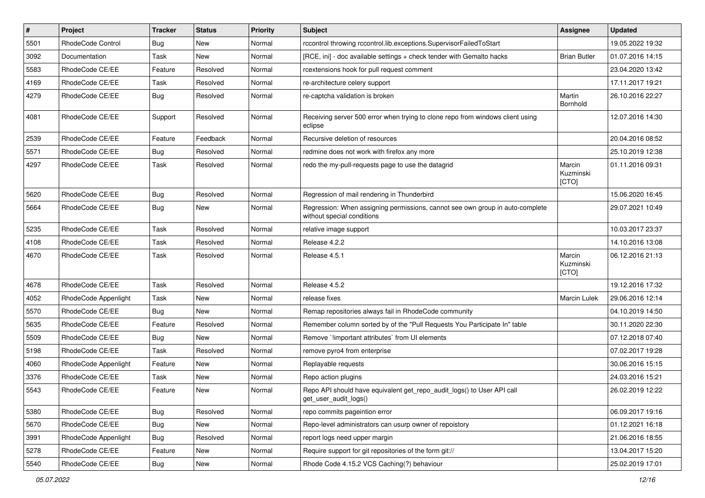| $\vert$ # | Project              | <b>Tracker</b> | <b>Status</b> | <b>Priority</b> | Subject                                                                                                     | <b>Assignee</b>              | <b>Updated</b>   |
|-----------|----------------------|----------------|---------------|-----------------|-------------------------------------------------------------------------------------------------------------|------------------------------|------------------|
| 5501      | RhodeCode Control    | Bug            | New           | Normal          | rccontrol throwing rccontrol.lib.exceptions.SupervisorFailedToStart                                         |                              | 19.05.2022 19:32 |
| 3092      | Documentation        | Task           | <b>New</b>    | Normal          | [RCE, ini] - doc available settings + check tender with Gemalto hacks                                       | <b>Brian Butler</b>          | 01.07.2016 14:15 |
| 5583      | RhodeCode CE/EE      | Feature        | Resolved      | Normal          | rcextensions hook for pull request comment                                                                  |                              | 23.04.2020 13:42 |
| 4169      | RhodeCode CE/EE      | Task           | Resolved      | Normal          | re-architecture celery support                                                                              |                              | 17.11.2017 19:21 |
| 4279      | RhodeCode CE/EE      | Bug            | Resolved      | Normal          | re-captcha validation is broken                                                                             | Martin<br>Bornhold           | 26.10.2016 22:27 |
| 4081      | RhodeCode CE/EE      | Support        | Resolved      | Normal          | Receiving server 500 error when trying to clone repo from windows client using<br>eclipse                   |                              | 12.07.2016 14:30 |
| 2539      | RhodeCode CE/EE      | Feature        | Feedback      | Normal          | Recursive deletion of resources                                                                             |                              | 20.04.2016 08:52 |
| 5571      | RhodeCode CE/EE      | Bug            | Resolved      | Normal          | redmine does not work with firefox any more                                                                 |                              | 25.10.2019 12:38 |
| 4297      | RhodeCode CE/EE      | Task           | Resolved      | Normal          | redo the my-pull-requests page to use the datagrid                                                          | Marcin<br>Kuzminski<br>[CTO] | 01.11.2016 09:31 |
| 5620      | RhodeCode CE/EE      | Bug            | Resolved      | Normal          | Regression of mail rendering in Thunderbird                                                                 |                              | 15.06.2020 16:45 |
| 5664      | RhodeCode CE/EE      | Bug            | New           | Normal          | Regression: When assigning permissions, cannot see own group in auto-complete<br>without special conditions |                              | 29.07.2021 10:49 |
| 5235      | RhodeCode CE/EE      | Task           | Resolved      | Normal          | relative image support                                                                                      |                              | 10.03.2017 23:37 |
| 4108      | RhodeCode CE/EE      | Task           | Resolved      | Normal          | Release 4.2.2                                                                                               |                              | 14.10.2016 13:08 |
| 4670      | RhodeCode CE/EE      | Task           | Resolved      | Normal          | Release 4.5.1                                                                                               | Marcin<br>Kuzminski<br>[CTO] | 06.12.2016 21:13 |
| 4678      | RhodeCode CE/EE      | Task           | Resolved      | Normal          | Release 4.5.2                                                                                               |                              | 19.12.2016 17:32 |
| 4052      | RhodeCode Appenlight | Task           | New           | Normal          | release fixes                                                                                               | Marcin Lulek                 | 29.06.2016 12:14 |
| 5570      | RhodeCode CE/EE      | Bug            | <b>New</b>    | Normal          | Remap repositories always fail in RhodeCode community                                                       |                              | 04.10.2019 14:50 |
| 5635      | RhodeCode CE/EE      | Feature        | Resolved      | Normal          | Remember column sorted by of the "Pull Requests You Participate In" table                                   |                              | 30.11.2020 22:30 |
| 5509      | RhodeCode CE/EE      | Bug            | <b>New</b>    | Normal          | Remove `limportant attributes` from UI elements                                                             |                              | 07.12.2018 07:40 |
| 5198      | RhodeCode CE/EE      | Task           | Resolved      | Normal          | remove pyro4 from enterprise                                                                                |                              | 07.02.2017 19:28 |
| 4060      | RhodeCode Appenlight | Feature        | <b>New</b>    | Normal          | Replayable requests                                                                                         |                              | 30.06.2016 15:15 |
| 3376      | RhodeCode CE/EE      | Task           | <b>New</b>    | Normal          | Repo action plugins                                                                                         |                              | 24.03.2016 15:21 |
| 5543      | RhodeCode CE/EE      | Feature        | New           | Normal          | Repo API should have equivalent get_repo_audit_logs() to User API call<br>get_user_audit_logs()             |                              | 26.02.2019 12:22 |
| 5380      | RhodeCode CE/EE      | Bug            | Resolved      | Normal          | repo commits pageintion error                                                                               |                              | 06.09.2017 19:16 |
| 5670      | RhodeCode CE/EE      | <b>Bug</b>     | New           | Normal          | Repo-level administrators can usurp owner of repoistory                                                     |                              | 01.12.2021 16:18 |
| 3991      | RhodeCode Appenlight | Bug            | Resolved      | Normal          | report logs need upper margin                                                                               |                              | 21.06.2016 18:55 |
| 5278      | RhodeCode CE/EE      | Feature        | New           | Normal          | Require support for git repositories of the form git://                                                     |                              | 13.04.2017 15:20 |
| 5540      | RhodeCode CE/EE      | <b>Bug</b>     | New           | Normal          | Rhode Code 4.15.2 VCS Caching(?) behaviour                                                                  |                              | 25.02.2019 17:01 |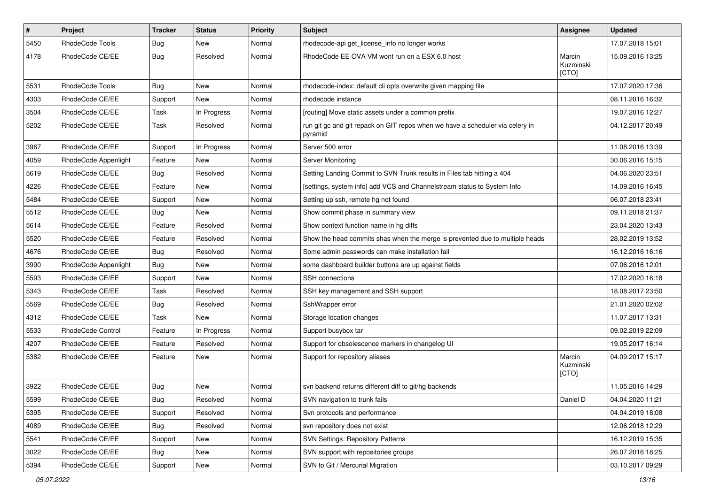| $\vert$ # | Project              | <b>Tracker</b> | <b>Status</b> | <b>Priority</b> | <b>Subject</b>                                                                           | Assignee                     | <b>Updated</b>   |
|-----------|----------------------|----------------|---------------|-----------------|------------------------------------------------------------------------------------------|------------------------------|------------------|
| 5450      | RhodeCode Tools      | <b>Bug</b>     | New           | Normal          | rhodecode-api get_license_info no longer works                                           |                              | 17.07.2018 15:01 |
| 4178      | RhodeCode CE/EE      | Bug            | Resolved      | Normal          | RhodeCode EE OVA VM wont run on a ESX 6.0 host                                           | Marcin<br>Kuzminski<br>[CTO] | 15.09.2016 13:25 |
| 5531      | RhodeCode Tools      | Bug            | <b>New</b>    | Normal          | rhodecode-index: default cli opts overwrite given mapping file                           |                              | 17.07.2020 17:36 |
| 4303      | RhodeCode CE/EE      | Support        | <b>New</b>    | Normal          | rhodecode instance                                                                       |                              | 08.11.2016 16:32 |
| 3504      | RhodeCode CE/EE      | Task           | In Progress   | Normal          | [routing] Move static assets under a common prefix                                       |                              | 19.07.2016 12:27 |
| 5202      | RhodeCode CE/EE      | Task           | Resolved      | Normal          | run git gc and git repack on GIT repos when we have a scheduler via celery in<br>pyramid |                              | 04.12.2017 20:49 |
| 3967      | RhodeCode CE/EE      | Support        | In Progress   | Normal          | Server 500 error                                                                         |                              | 11.08.2016 13:39 |
| 4059      | RhodeCode Appenlight | Feature        | New           | Normal          | Server Monitoring                                                                        |                              | 30.06.2016 15:15 |
| 5619      | RhodeCode CE/EE      | <b>Bug</b>     | Resolved      | Normal          | Setting Landing Commit to SVN Trunk results in Files tab hitting a 404                   |                              | 04.06.2020 23:51 |
| 4226      | RhodeCode CE/EE      | Feature        | <b>New</b>    | Normal          | [settings, system info] add VCS and Channelstream status to System Info                  |                              | 14.09.2016 16:45 |
| 5484      | RhodeCode CE/EE      | Support        | New           | Normal          | Setting up ssh, remote hg not found                                                      |                              | 06.07.2018 23:41 |
| 5512      | RhodeCode CE/EE      | <b>Bug</b>     | New           | Normal          | Show commit phase in summary view                                                        |                              | 09.11.2018 21:37 |
| 5614      | RhodeCode CE/EE      | Feature        | Resolved      | Normal          | Show context function name in hg diffs                                                   |                              | 23.04.2020 13:43 |
| 5520      | RhodeCode CE/EE      | Feature        | Resolved      | Normal          | Show the head commits shas when the merge is prevented due to multiple heads             |                              | 28.02.2019 13:52 |
| 4676      | RhodeCode CE/EE      | Bug            | Resolved      | Normal          | Some admin passwords can make installation fail                                          |                              | 16.12.2016 16:16 |
| 3990      | RhodeCode Appenlight | Bug            | <b>New</b>    | Normal          | some dashboard builder buttons are up against fields                                     |                              | 07.06.2016 12:01 |
| 5593      | RhodeCode CE/EE      | Support        | <b>New</b>    | Normal          | <b>SSH</b> connections                                                                   |                              | 17.02.2020 16:18 |
| 5343      | RhodeCode CE/EE      | Task           | Resolved      | Normal          | SSH key management and SSH support                                                       |                              | 18.08.2017 23:50 |
| 5569      | RhodeCode CE/EE      | <b>Bug</b>     | Resolved      | Normal          | SshWrapper error                                                                         |                              | 21.01.2020 02:02 |
| 4312      | RhodeCode CE/EE      | Task           | <b>New</b>    | Normal          | Storage location changes                                                                 |                              | 11.07.2017 13:31 |
| 5533      | RhodeCode Control    | Feature        | In Progress   | Normal          | Support busybox tar                                                                      |                              | 09.02.2019 22:09 |
| 4207      | RhodeCode CE/EE      | Feature        | Resolved      | Normal          | Support for obsolescence markers in changelog UI                                         |                              | 19.05.2017 16:14 |
| 5382      | RhodeCode CE/EE      | Feature        | <b>New</b>    | Normal          | Support for repository aliases                                                           | Marcin<br>Kuzminski<br>[CTO] | 04.09.2017 15:17 |
| 3922      | RhodeCode CE/EE      | <b>Bug</b>     | <b>New</b>    | Normal          | svn backend returns different diff to git/hg backends                                    |                              | 11.05.2016 14:29 |
| 5599      | RhodeCode CE/EE      | Bug            | Resolved      | Normal          | SVN navigation to trunk fails                                                            | Daniel D                     | 04.04.2020 11:21 |
| 5395      | RhodeCode CE/EE      | Support        | Resolved      | Normal          | Svn protocols and performance                                                            |                              | 04.04.2019 18:08 |
| 4089      | RhodeCode CE/EE      | Bug            | Resolved      | Normal          | svn repository does not exist                                                            |                              | 12.06.2018 12:29 |
| 5541      | RhodeCode CE/EE      | Support        | New           | Normal          | <b>SVN Settings: Repository Patterns</b>                                                 |                              | 16.12.2019 15:35 |
| 3022      | RhodeCode CE/EE      | <b>Bug</b>     | New           | Normal          | SVN support with repositories groups                                                     |                              | 26.07.2016 18:25 |
| 5394      | RhodeCode CE/EE      | Support        | New           | Normal          | SVN to Git / Mercurial Migration                                                         |                              | 03.10.2017 09:29 |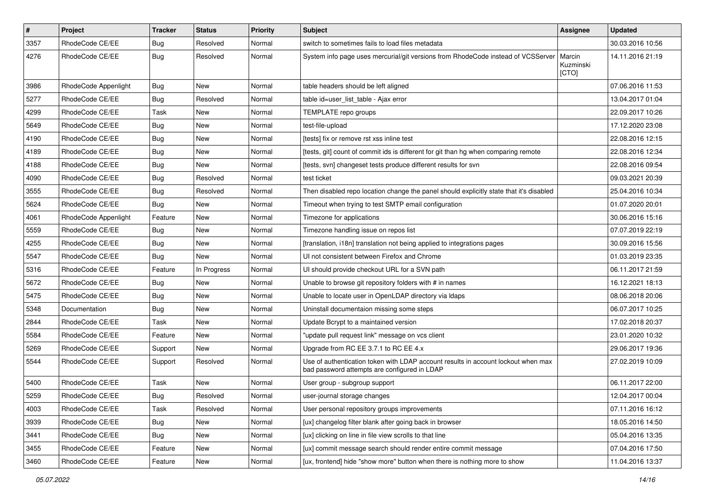| $\vert$ # | Project              | <b>Tracker</b> | <b>Status</b> | Priority | <b>Subject</b>                                                                                                                    | Assignee                     | <b>Updated</b>   |
|-----------|----------------------|----------------|---------------|----------|-----------------------------------------------------------------------------------------------------------------------------------|------------------------------|------------------|
| 3357      | RhodeCode CE/EE      | <b>Bug</b>     | Resolved      | Normal   | switch to sometimes fails to load files metadata                                                                                  |                              | 30.03.2016 10:56 |
| 4276      | RhodeCode CE/EE      | Bug            | Resolved      | Normal   | System info page uses mercurial/git versions from RhodeCode instead of VCSServer                                                  | Marcin<br>Kuzminski<br>[CTO] | 14.11.2016 21:19 |
| 3986      | RhodeCode Appenlight | Bug            | <b>New</b>    | Normal   | table headers should be left aligned                                                                                              |                              | 07.06.2016 11:53 |
| 5277      | RhodeCode CE/EE      | <b>Bug</b>     | Resolved      | Normal   | table id=user list table - Ajax error                                                                                             |                              | 13.04.2017 01:04 |
| 4299      | RhodeCode CE/EE      | Task           | New           | Normal   | TEMPLATE repo groups                                                                                                              |                              | 22.09.2017 10:26 |
| 5649      | RhodeCode CE/EE      | <b>Bug</b>     | New           | Normal   | test-file-upload                                                                                                                  |                              | 17.12.2020 23:08 |
| 4190      | RhodeCode CE/EE      | <b>Bug</b>     | New           | Normal   | [tests] fix or remove rst xss inline test                                                                                         |                              | 22.08.2016 12:15 |
| 4189      | RhodeCode CE/EE      | <b>Bug</b>     | New           | Normal   | [tests, git] count of commit ids is different for git than hg when comparing remote                                               |                              | 22.08.2016 12:34 |
| 4188      | RhodeCode CE/EE      | <b>Bug</b>     | New           | Normal   | [tests, svn] changeset tests produce different results for svn                                                                    |                              | 22.08.2016 09:54 |
| 4090      | RhodeCode CE/EE      | <b>Bug</b>     | Resolved      | Normal   | test ticket                                                                                                                       |                              | 09.03.2021 20:39 |
| 3555      | RhodeCode CE/EE      | Bug            | Resolved      | Normal   | Then disabled repo location change the panel should explicitly state that it's disabled                                           |                              | 25.04.2016 10:34 |
| 5624      | RhodeCode CE/EE      | Bug            | New           | Normal   | Timeout when trying to test SMTP email configuration                                                                              |                              | 01.07.2020 20:01 |
| 4061      | RhodeCode Appenlight | Feature        | New           | Normal   | Timezone for applications                                                                                                         |                              | 30.06.2016 15:16 |
| 5559      | RhodeCode CE/EE      | Bug            | New           | Normal   | Timezone handling issue on repos list                                                                                             |                              | 07.07.2019 22:19 |
| 4255      | RhodeCode CE/EE      | <b>Bug</b>     | New           | Normal   | [translation, i18n] translation not being applied to integrations pages                                                           |                              | 30.09.2016 15:56 |
| 5547      | RhodeCode CE/EE      | <b>Bug</b>     | <b>New</b>    | Normal   | UI not consistent between Firefox and Chrome                                                                                      |                              | 01.03.2019 23:35 |
| 5316      | RhodeCode CE/EE      | Feature        | In Progress   | Normal   | UI should provide checkout URL for a SVN path                                                                                     |                              | 06.11.2017 21:59 |
| 5672      | RhodeCode CE/EE      | Bug            | New           | Normal   | Unable to browse git repository folders with # in names                                                                           |                              | 16.12.2021 18:13 |
| 5475      | RhodeCode CE/EE      | <b>Bug</b>     | New           | Normal   | Unable to locate user in OpenLDAP directory via Idaps                                                                             |                              | 08.06.2018 20:06 |
| 5348      | Documentation        | Bug            | New           | Normal   | Uninstall documentaion missing some steps                                                                                         |                              | 06.07.2017 10:25 |
| 2844      | RhodeCode CE/EE      | Task           | New           | Normal   | Update Bcrypt to a maintained version                                                                                             |                              | 17.02.2018 20:37 |
| 5584      | RhodeCode CE/EE      | Feature        | New           | Normal   | "update pull request link" message on vcs client                                                                                  |                              | 23.01.2020 10:32 |
| 5269      | RhodeCode CE/EE      | Support        | New           | Normal   | Upgrade from RC EE 3.7.1 to RC EE 4.x                                                                                             |                              | 29.06.2017 19:36 |
| 5544      | RhodeCode CE/EE      | Support        | Resolved      | Normal   | Use of authentication token with LDAP account results in account lockout when max<br>bad password attempts are configured in LDAP |                              | 27.02.2019 10:09 |
| 5400      | RhodeCode CE/EE      | Task           | New           | Normal   | User group - subgroup support                                                                                                     |                              | 06.11.2017 22:00 |
| 5259      | RhodeCode CE/EE      | Bug            | Resolved      | Normal   | user-journal storage changes                                                                                                      |                              | 12.04.2017 00:04 |
| 4003      | RhodeCode CE/EE      | Task           | Resolved      | Normal   | User personal repository groups improvements                                                                                      |                              | 07.11.2016 16:12 |
| 3939      | RhodeCode CE/EE      | Bug            | New           | Normal   | [ux] changelog filter blank after going back in browser                                                                           |                              | 18.05.2016 14:50 |
| 3441      | RhodeCode CE/EE      | Bug            | New           | Normal   | [ux] clicking on line in file view scrolls to that line                                                                           |                              | 05.04.2016 13:35 |
| 3455      | RhodeCode CE/EE      | Feature        | New           | Normal   | [ux] commit message search should render entire commit message                                                                    |                              | 07.04.2016 17:50 |
| 3460      | RhodeCode CE/EE      | Feature        | New           | Normal   | [ux, frontend] hide "show more" button when there is nothing more to show                                                         |                              | 11.04.2016 13:37 |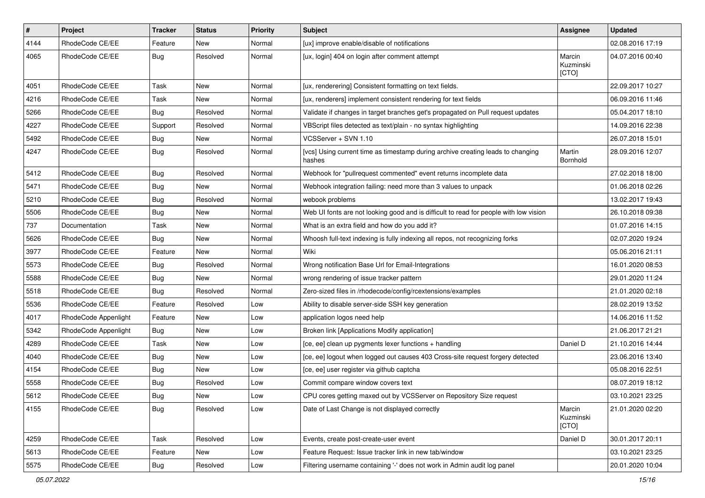| $\pmb{\#}$ | Project              | <b>Tracker</b> | <b>Status</b> | Priority | Subject                                                                                   | Assignee                     | <b>Updated</b>   |
|------------|----------------------|----------------|---------------|----------|-------------------------------------------------------------------------------------------|------------------------------|------------------|
| 4144       | RhodeCode CE/EE      | Feature        | New           | Normal   | [ux] improve enable/disable of notifications                                              |                              | 02.08.2016 17:19 |
| 4065       | RhodeCode CE/EE      | Bug            | Resolved      | Normal   | [ux, login] 404 on login after comment attempt                                            | Marcin<br>Kuzminski<br>[CTO] | 04.07.2016 00:40 |
| 4051       | RhodeCode CE/EE      | Task           | <b>New</b>    | Normal   | [ux, renderering] Consistent formatting on text fields.                                   |                              | 22.09.2017 10:27 |
| 4216       | RhodeCode CE/EE      | Task           | New           | Normal   | [ux, renderers] implement consistent rendering for text fields                            |                              | 06.09.2016 11:46 |
| 5266       | RhodeCode CE/EE      | Bug            | Resolved      | Normal   | Validate if changes in target branches get's propagated on Pull request updates           |                              | 05.04.2017 18:10 |
| 4227       | RhodeCode CE/EE      | Support        | Resolved      | Normal   | VBScript files detected as text/plain - no syntax highlighting                            |                              | 14.09.2016 22:38 |
| 5492       | RhodeCode CE/EE      | <b>Bug</b>     | New           | Normal   | VCSServer + SVN 1.10                                                                      |                              | 26.07.2018 15:01 |
| 4247       | RhodeCode CE/EE      | Bug            | Resolved      | Normal   | [vcs] Using current time as timestamp during archive creating leads to changing<br>hashes | Martin<br>Bornhold           | 28.09.2016 12:07 |
| 5412       | RhodeCode CE/EE      | Bug            | Resolved      | Normal   | Webhook for "pullrequest commented" event returns incomplete data                         |                              | 27.02.2018 18:00 |
| 5471       | RhodeCode CE/EE      | Bug            | <b>New</b>    | Normal   | Webhook integration failing: need more than 3 values to unpack                            |                              | 01.06.2018 02:26 |
| 5210       | RhodeCode CE/EE      | <b>Bug</b>     | Resolved      | Normal   | webook problems                                                                           |                              | 13.02.2017 19:43 |
| 5506       | RhodeCode CE/EE      | <b>Bug</b>     | New           | Normal   | Web UI fonts are not looking good and is difficult to read for people with low vision     |                              | 26.10.2018 09:38 |
| 737        | Documentation        | Task           | <b>New</b>    | Normal   | What is an extra field and how do you add it?                                             |                              | 01.07.2016 14:15 |
| 5626       | RhodeCode CE/EE      | Bug            | New           | Normal   | Whoosh full-text indexing is fully indexing all repos, not recognizing forks              |                              | 02.07.2020 19:24 |
| 3977       | RhodeCode CE/EE      | Feature        | New           | Normal   | Wiki                                                                                      |                              | 05.06.2016 21:11 |
| 5573       | RhodeCode CE/EE      | Bug            | Resolved      | Normal   | Wrong notification Base Url for Email-Integrations                                        |                              | 16.01.2020 08:53 |
| 5588       | RhodeCode CE/EE      | <b>Bug</b>     | New           | Normal   | wrong rendering of issue tracker pattern                                                  |                              | 29.01.2020 11:24 |
| 5518       | RhodeCode CE/EE      | Bug            | Resolved      | Normal   | Zero-sized files in /rhodecode/config/rcextensions/examples                               |                              | 21.01.2020 02:18 |
| 5536       | RhodeCode CE/EE      | Feature        | Resolved      | Low      | Ability to disable server-side SSH key generation                                         |                              | 28.02.2019 13:52 |
| 4017       | RhodeCode Appenlight | Feature        | New           | Low      | application logos need help                                                               |                              | 14.06.2016 11:52 |
| 5342       | RhodeCode Appenlight | Bug            | New           | Low      | Broken link [Applications Modify application]                                             |                              | 21.06.2017 21:21 |
| 4289       | RhodeCode CE/EE      | Task           | <b>New</b>    | Low      | [ce, ee] clean up pygments lexer functions + handling                                     | Daniel D                     | 21.10.2016 14:44 |
| 4040       | RhodeCode CE/EE      | Bug            | New           | Low      | [ce, ee] logout when logged out causes 403 Cross-site request forgery detected            |                              | 23.06.2016 13:40 |
| 4154       | RhodeCode CE/EE      | <b>Bug</b>     | New           | Low      | [ce, ee] user register via github captcha                                                 |                              | 05.08.2016 22:51 |
| 5558       | RhodeCode CE/EE      | <b>Bug</b>     | Resolved      | Low      | Commit compare window covers text                                                         |                              | 08.07.2019 18:12 |
| 5612       | RhodeCode CE/EE      | Bug            | New           | Low      | CPU cores getting maxed out by VCSServer on Repository Size request                       |                              | 03.10.2021 23:25 |
| 4155       | RhodeCode CE/EE      | Bug            | Resolved      | Low      | Date of Last Change is not displayed correctly                                            | Marcin<br>Kuzminski<br>[CTO] | 21.01.2020 02:20 |
| 4259       | RhodeCode CE/EE      | Task           | Resolved      | Low      | Events, create post-create-user event                                                     | Daniel D                     | 30.01.2017 20:11 |
| 5613       | RhodeCode CE/EE      | Feature        | New           | Low      | Feature Request: Issue tracker link in new tab/window                                     |                              | 03.10.2021 23:25 |
| 5575       | RhodeCode CE/EE      | Bug            | Resolved      | Low      | Filtering username containing '-' does not work in Admin audit log panel                  |                              | 20.01.2020 10:04 |